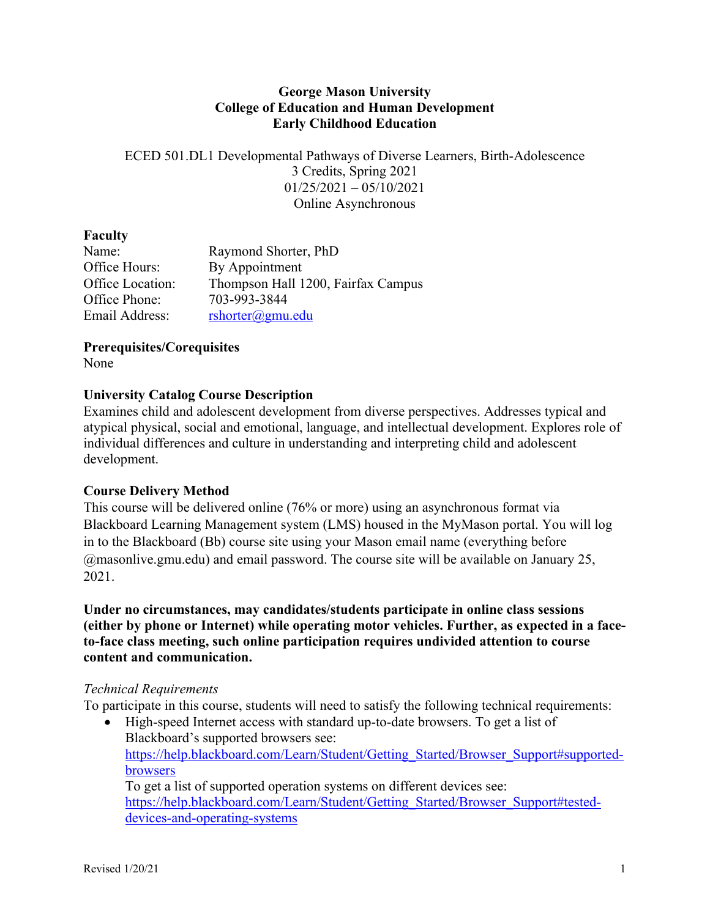#### **George Mason University College of Education and Human Development Early Childhood Education**

ECED 501.DL1 Developmental Pathways of Diverse Learners, Birth-Adolescence 3 Credits, Spring 2021  $01/25/2021 - 05/10/2021$ Online Asynchronous

#### **Faculty**

| Name:            | Raymond Shorter, PhD               |
|------------------|------------------------------------|
| Office Hours:    | By Appointment                     |
| Office Location: | Thompson Hall 1200, Fairfax Campus |
| Office Phone:    | 703-993-3844                       |
| Email Address:   | $rshotter(\omega gmu.edu)$         |

**Prerequisites/Corequisites**

None

## **University Catalog Course Description**

Examines child and adolescent development from diverse perspectives. Addresses typical and atypical physical, social and emotional, language, and intellectual development. Explores role of individual differences and culture in understanding and interpreting child and adolescent development.

## **Course Delivery Method**

This course will be delivered online (76% or more) using an asynchronous format via Blackboard Learning Management system (LMS) housed in the MyMason portal. You will log in to the Blackboard (Bb) course site using your Mason email name (everything before @masonlive.gmu.edu) and email password. The course site will be available on January 25, 2021.

**Under no circumstances, may candidates/students participate in online class sessions (either by phone or Internet) while operating motor vehicles. Further, as expected in a faceto-face class meeting, such online participation requires undivided attention to course content and communication.**

#### *Technical Requirements*

To participate in this course, students will need to satisfy the following technical requirements:

• High-speed Internet access with standard up-to-date browsers. To get a list of Blackboard's supported browsers see: https://help.blackboard.com/Learn/Student/Getting\_Started/Browser\_Support#supportedbrowsers To get a list of supported operation systems on different devices see:

https://help.blackboard.com/Learn/Student/Getting\_Started/Browser\_Support#testeddevices-and-operating-systems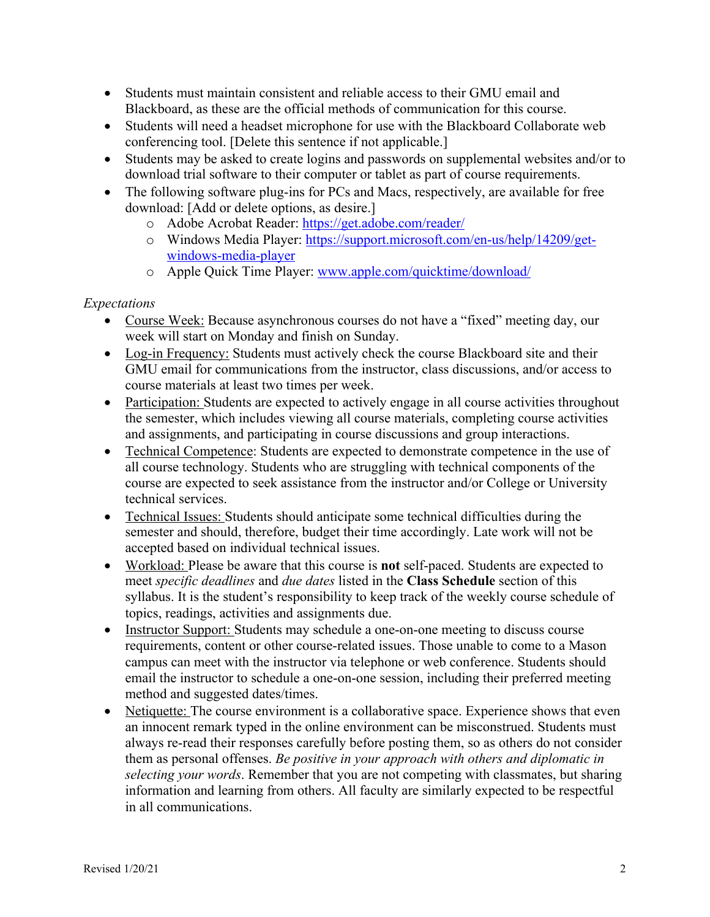- Students must maintain consistent and reliable access to their GMU email and Blackboard, as these are the official methods of communication for this course.
- Students will need a headset microphone for use with the Blackboard Collaborate web conferencing tool. [Delete this sentence if not applicable.]
- Students may be asked to create logins and passwords on supplemental websites and/or to download trial software to their computer or tablet as part of course requirements.
- The following software plug-ins for PCs and Macs, respectively, are available for free download: [Add or delete options, as desire.]
	- o Adobe Acrobat Reader: https://get.adobe.com/reader/
	- o Windows Media Player: https://support.microsoft.com/en-us/help/14209/getwindows-media-player
	- o Apple Quick Time Player: www.apple.com/quicktime/download/

## *Expectations*

- Course Week: Because asynchronous courses do not have a "fixed" meeting day, our week will start on Monday and finish on Sunday.
- Log-in Frequency: Students must actively check the course Blackboard site and their GMU email for communications from the instructor, class discussions, and/or access to course materials at least two times per week.
- Participation: Students are expected to actively engage in all course activities throughout the semester, which includes viewing all course materials, completing course activities and assignments, and participating in course discussions and group interactions.
- Technical Competence: Students are expected to demonstrate competence in the use of all course technology. Students who are struggling with technical components of the course are expected to seek assistance from the instructor and/or College or University technical services.
- Technical Issues: Students should anticipate some technical difficulties during the semester and should, therefore, budget their time accordingly. Late work will not be accepted based on individual technical issues.
- Workload: Please be aware that this course is **not** self-paced. Students are expected to meet *specific deadlines* and *due dates* listed in the **Class Schedule** section of this syllabus. It is the student's responsibility to keep track of the weekly course schedule of topics, readings, activities and assignments due.
- Instructor Support: Students may schedule a one-on-one meeting to discuss course requirements, content or other course-related issues. Those unable to come to a Mason campus can meet with the instructor via telephone or web conference. Students should email the instructor to schedule a one-on-one session, including their preferred meeting method and suggested dates/times.
- Netiquette: The course environment is a collaborative space. Experience shows that even an innocent remark typed in the online environment can be misconstrued. Students must always re-read their responses carefully before posting them, so as others do not consider them as personal offenses. *Be positive in your approach with others and diplomatic in selecting your words*. Remember that you are not competing with classmates, but sharing information and learning from others. All faculty are similarly expected to be respectful in all communications.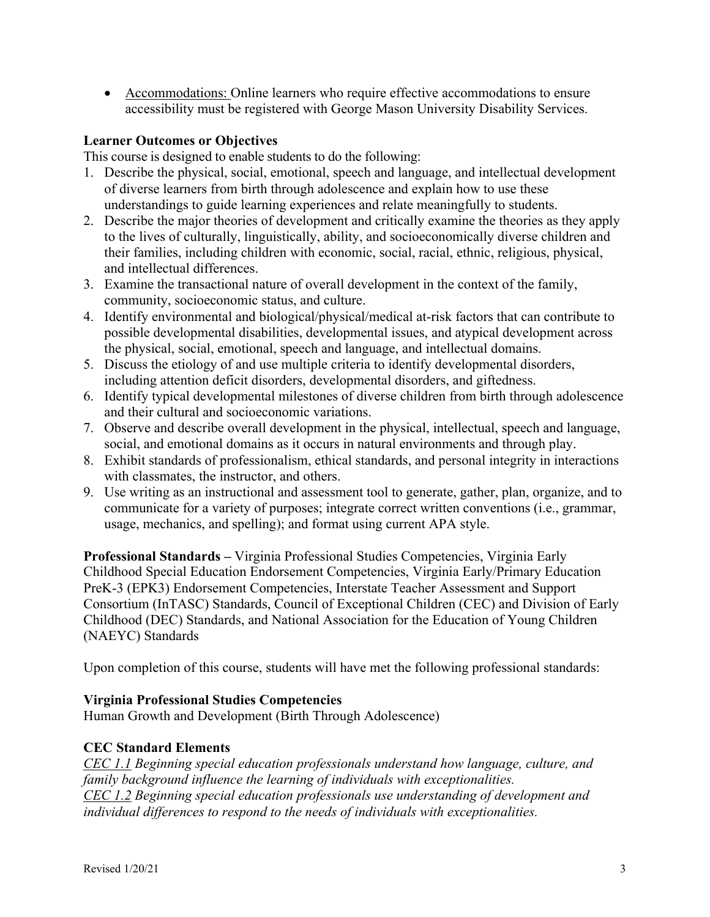• Accommodations: Online learners who require effective accommodations to ensure accessibility must be registered with George Mason University Disability Services.

#### **Learner Outcomes or Objectives**

This course is designed to enable students to do the following:

- 1. Describe the physical, social, emotional, speech and language, and intellectual development of diverse learners from birth through adolescence and explain how to use these understandings to guide learning experiences and relate meaningfully to students.
- 2. Describe the major theories of development and critically examine the theories as they apply to the lives of culturally, linguistically, ability, and socioeconomically diverse children and their families, including children with economic, social, racial, ethnic, religious, physical, and intellectual differences.
- 3. Examine the transactional nature of overall development in the context of the family, community, socioeconomic status, and culture.
- 4. Identify environmental and biological/physical/medical at-risk factors that can contribute to possible developmental disabilities, developmental issues, and atypical development across the physical, social, emotional, speech and language, and intellectual domains.
- 5. Discuss the etiology of and use multiple criteria to identify developmental disorders, including attention deficit disorders, developmental disorders, and giftedness.
- 6. Identify typical developmental milestones of diverse children from birth through adolescence and their cultural and socioeconomic variations.
- 7. Observe and describe overall development in the physical, intellectual, speech and language, social, and emotional domains as it occurs in natural environments and through play.
- 8. Exhibit standards of professionalism, ethical standards, and personal integrity in interactions with classmates, the instructor, and others.
- 9. Use writing as an instructional and assessment tool to generate, gather, plan, organize, and to communicate for a variety of purposes; integrate correct written conventions (i.e., grammar, usage, mechanics, and spelling); and format using current APA style.

**Professional Standards –** Virginia Professional Studies Competencies, Virginia Early Childhood Special Education Endorsement Competencies, Virginia Early/Primary Education PreK-3 (EPK3) Endorsement Competencies, Interstate Teacher Assessment and Support Consortium (InTASC) Standards, Council of Exceptional Children (CEC) and Division of Early Childhood (DEC) Standards, and National Association for the Education of Young Children (NAEYC) Standards

Upon completion of this course, students will have met the following professional standards:

## **Virginia Professional Studies Competencies**

Human Growth and Development (Birth Through Adolescence)

## **CEC Standard Elements**

*CEC 1.1 Beginning special education professionals understand how language, culture, and family background influence the learning of individuals with exceptionalities. CEC 1.2 Beginning special education professionals use understanding of development and individual differences to respond to the needs of individuals with exceptionalities.*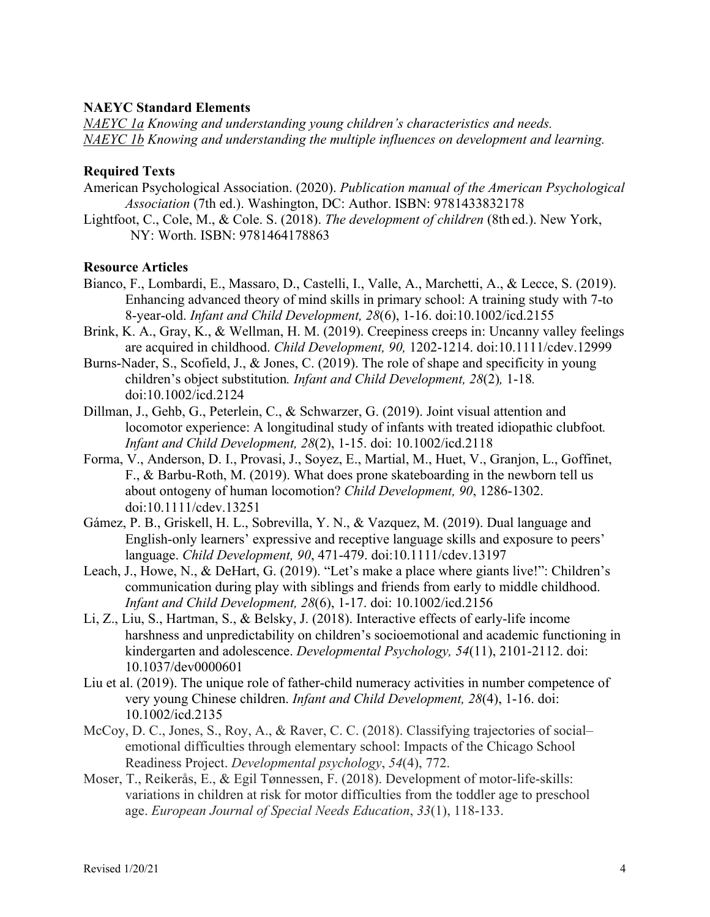#### **NAEYC Standard Elements**

*NAEYC 1a Knowing and understanding young children's characteristics and needs. NAEYC 1b Knowing and understanding the multiple influences on development and learning.*

#### **Required Texts**

- American Psychological Association. (2020). *Publication manual of the American Psychological Association* (7th ed.). Washington, DC: Author. ISBN: 9781433832178
- Lightfoot, C., Cole, M., & Cole. S. (2018). *The development of children* (8th ed.). New York, NY: Worth. ISBN: 9781464178863

#### **Resource Articles**

- Bianco, F., Lombardi, E., Massaro, D., Castelli, I., Valle, A., Marchetti, A., & Lecce, S. (2019). Enhancing advanced theory of mind skills in primary school: A training study with 7-to 8-year-old. *Infant and Child Development, 28*(6), 1-16. doi:10.1002/icd.2155
- Brink, K. A., Gray, K., & Wellman, H. M. (2019). Creepiness creeps in: Uncanny valley feelings are acquired in childhood. *Child Development, 90,* 1202-1214. doi:10.1111/cdev.12999
- Burns-Nader, S., Scofield, J., & Jones, C. (2019). The role of shape and specificity in young children's object substitution*. Infant and Child Development, 28*(2)*,* 1-18*.*  doi:10.1002/icd.2124
- Dillman, J., Gehb, G., Peterlein, C., & Schwarzer, G. (2019). Joint visual attention and locomotor experience: A longitudinal study of infants with treated idiopathic clubfoot*. Infant and Child Development, 28*(2), 1-15. doi: 10.1002/icd.2118
- Forma, V., Anderson, D. I., Provasi, J., Soyez, E., Martial, M., Huet, V., Granjon, L., Goffinet, F., & Barbu-Roth, M. (2019). What does prone skateboarding in the newborn tell us about ontogeny of human locomotion? *Child Development, 90*, 1286-1302. doi:10.1111/cdev.13251
- Gámez, P. B., Griskell, H. L., Sobrevilla, Y. N., & Vazquez, M. (2019). Dual language and English-only learners' expressive and receptive language skills and exposure to peers' language. *Child Development, 90*, 471-479. doi:10.1111/cdev.13197
- Leach, J., Howe, N., & DeHart, G. (2019). "Let's make a place where giants live!": Children's communication during play with siblings and friends from early to middle childhood. *Infant and Child Development, 28*(6), 1-17. doi: 10.1002/icd.2156
- Li, Z., Liu, S., Hartman, S., & Belsky, J. (2018). Interactive effects of early-life income harshness and unpredictability on children's socioemotional and academic functioning in kindergarten and adolescence. *Developmental Psychology, 54*(11), 2101-2112. doi: 10.1037/dev0000601
- Liu et al. (2019). The unique role of father-child numeracy activities in number competence of very young Chinese children. *Infant and Child Development, 28*(4), 1-16. doi: 10.1002/icd.2135
- McCoy, D. C., Jones, S., Roy, A., & Raver, C. C. (2018). Classifying trajectories of social– emotional difficulties through elementary school: Impacts of the Chicago School Readiness Project. *Developmental psychology*, *54*(4), 772.
- Moser, T., Reikerås, E., & Egil Tønnessen, F. (2018). Development of motor-life-skills: variations in children at risk for motor difficulties from the toddler age to preschool age. *European Journal of Special Needs Education*, *33*(1), 118-133.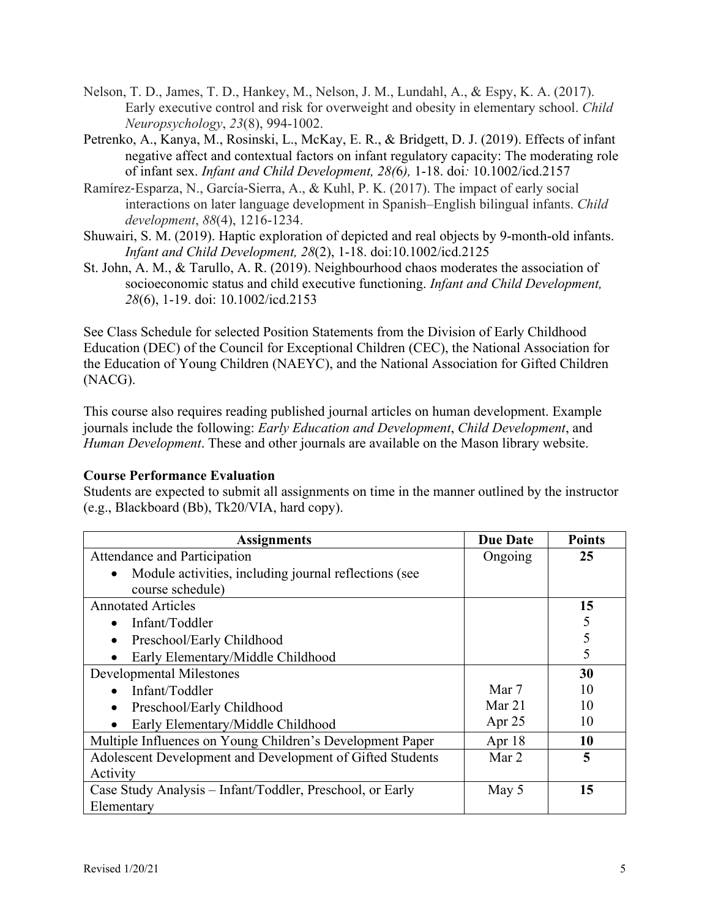- Nelson, T. D., James, T. D., Hankey, M., Nelson, J. M., Lundahl, A., & Espy, K. A. (2017). Early executive control and risk for overweight and obesity in elementary school. *Child Neuropsychology*, *23*(8), 994-1002.
- Petrenko, A., Kanya, M., Rosinski, L., McKay, E. R., & Bridgett, D. J. (2019). Effects of infant negative affect and contextual factors on infant regulatory capacity: The moderating role of infant sex. *Infant and Child Development, 28(*6*),* 1-18. doi*:* 10.1002/icd.2157
- Ramírez-Esparza, N., García-Sierra, A., & Kuhl, P. K. (2017). The impact of early social interactions on later language development in Spanish–English bilingual infants. *Child development*, *88*(4), 1216-1234.
- Shuwairi, S. M. (2019). Haptic exploration of depicted and real objects by 9-month-old infants. *Infant and Child Development, 28*(2), 1-18. doi:10.1002/icd.2125
- St. John, A. M., & Tarullo, A. R. (2019). Neighbourhood chaos moderates the association of socioeconomic status and child executive functioning. *Infant and Child Development, 28*(6), 1-19. doi: 10.1002/icd.2153

See Class Schedule for selected Position Statements from the Division of Early Childhood Education (DEC) of the Council for Exceptional Children (CEC), the National Association for the Education of Young Children (NAEYC), and the National Association for Gifted Children (NACG).

This course also requires reading published journal articles on human development. Example journals include the following: *Early Education and Development*, *Child Development*, and *Human Development*. These and other journals are available on the Mason library website.

## **Course Performance Evaluation**

Students are expected to submit all assignments on time in the manner outlined by the instructor (e.g., Blackboard (Bb), Tk20/VIA, hard copy).

| <b>Assignments</b>                                         | <b>Due Date</b> | <b>Points</b> |
|------------------------------------------------------------|-----------------|---------------|
| Attendance and Participation                               | Ongoing         | 25            |
| Module activities, including journal reflections (see<br>٠ |                 |               |
| course schedule)                                           |                 |               |
| <b>Annotated Articles</b>                                  |                 | 15            |
| Infant/Toddler<br>$\bullet$                                |                 |               |
| Preschool/Early Childhood                                  |                 |               |
| Early Elementary/Middle Childhood<br>$\bullet$             |                 |               |
| <b>Developmental Milestones</b>                            |                 | 30            |
| Infant/Toddler                                             | Mar 7           | 10            |
| Preschool/Early Childhood<br>$\bullet$                     | Mar $21$        | 10            |
| Early Elementary/Middle Childhood                          | Apr $25$        | 10            |
| Multiple Influences on Young Children's Development Paper  | Apr $18$        | 10            |
| Adolescent Development and Development of Gifted Students  | Mar 2           | 5             |
| Activity                                                   |                 |               |
| Case Study Analysis – Infant/Toddler, Preschool, or Early  | May 5           | 15            |
| Elementary                                                 |                 |               |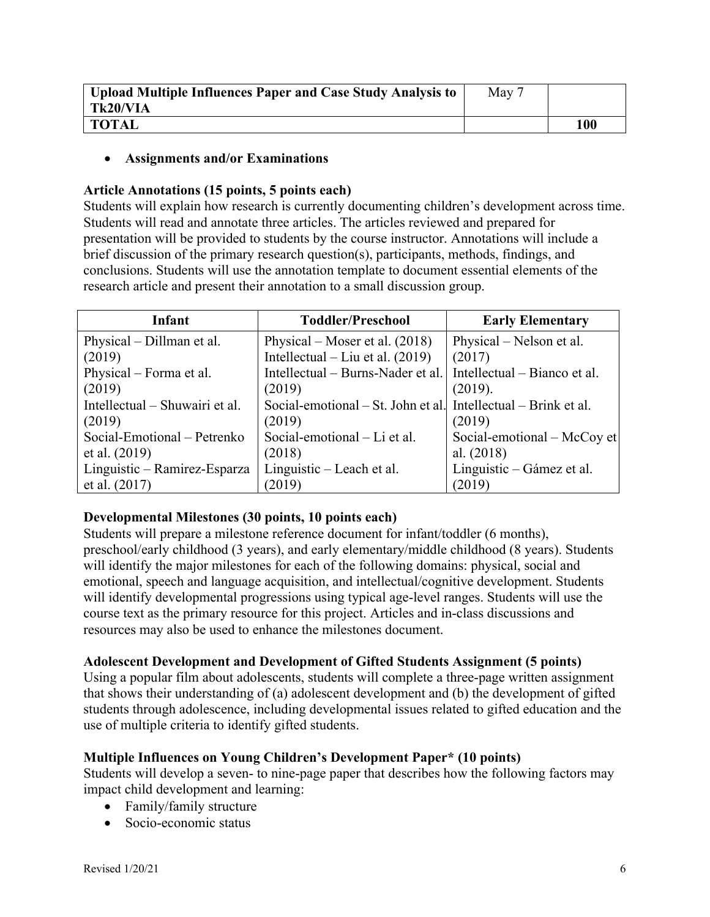| <b>Upload Multiple Influences Paper and Case Study Analysis to</b> | May 7 |     |
|--------------------------------------------------------------------|-------|-----|
| Tk20/VIA                                                           |       |     |
| <b>TOTAL</b>                                                       |       | 100 |

#### • **Assignments and/or Examinations**

#### **Article Annotations (15 points, 5 points each)**

Students will explain how research is currently documenting children's development across time. Students will read and annotate three articles. The articles reviewed and prepared for presentation will be provided to students by the course instructor. Annotations will include a brief discussion of the primary research question(s), participants, methods, findings, and conclusions. Students will use the annotation template to document essential elements of the research article and present their annotation to a small discussion group.

| Infant                         | <b>Toddler/Preschool</b>                                       | <b>Early Elementary</b>      |
|--------------------------------|----------------------------------------------------------------|------------------------------|
| Physical – Dillman et al.      | Physical – Moser et al. $(2018)$                               | Physical – Nelson et al.     |
| (2019)                         | Intellectual – Liu et al. $(2019)$                             | (2017)                       |
| Physical – Forma et al.        | Intellectual – Burns-Nader et al.                              | Intellectual – Bianco et al. |
| (2019)                         | (2019)                                                         | (2019).                      |
| Intellectual – Shuwairi et al. | Social-emotional – St. John et al. Intellectual – Brink et al. |                              |
| (2019)                         | (2019)                                                         | (2019)                       |
| Social-Emotional - Petrenko    | Social-emotional – Li et al.                                   | Social-emotional – McCoy et  |
| et al. (2019)                  | (2018)                                                         | al. $(2018)$                 |
| Linguistic – Ramirez-Esparza   | Linguistic – Leach et al.                                      | Linguistic – Gámez et al.    |
| et al. $(2017)$                | (2019)                                                         | (2019)                       |

## **Developmental Milestones (30 points, 10 points each)**

Students will prepare a milestone reference document for infant/toddler (6 months), preschool/early childhood (3 years), and early elementary/middle childhood (8 years). Students will identify the major milestones for each of the following domains: physical, social and emotional, speech and language acquisition, and intellectual/cognitive development. Students will identify developmental progressions using typical age-level ranges. Students will use the course text as the primary resource for this project. Articles and in-class discussions and resources may also be used to enhance the milestones document.

## **Adolescent Development and Development of Gifted Students Assignment (5 points)**

Using a popular film about adolescents, students will complete a three-page written assignment that shows their understanding of (a) adolescent development and (b) the development of gifted students through adolescence, including developmental issues related to gifted education and the use of multiple criteria to identify gifted students.

## **Multiple Influences on Young Children's Development Paper\* (10 points)**

Students will develop a seven- to nine-page paper that describes how the following factors may impact child development and learning:

- Family/family structure
- Socio-economic status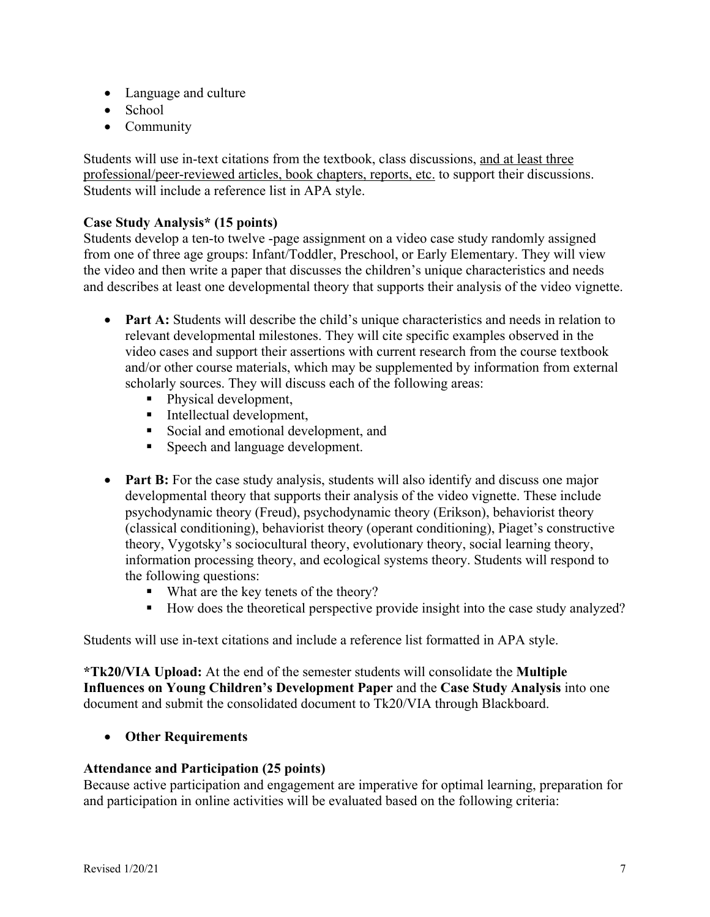- Language and culture
- School
- Community

Students will use in-text citations from the textbook, class discussions, and at least three professional/peer-reviewed articles, book chapters, reports, etc. to support their discussions. Students will include a reference list in APA style.

## **Case Study Analysis\* (15 points)**

Students develop a ten-to twelve -page assignment on a video case study randomly assigned from one of three age groups: Infant/Toddler, Preschool, or Early Elementary. They will view the video and then write a paper that discusses the children's unique characteristics and needs and describes at least one developmental theory that supports their analysis of the video vignette.

- **Part A:** Students will describe the child's unique characteristics and needs in relation to relevant developmental milestones. They will cite specific examples observed in the video cases and support their assertions with current research from the course textbook and/or other course materials, which may be supplemented by information from external scholarly sources. They will discuss each of the following areas:
	- Physical development,
	- Intellectual development,
	- Social and emotional development, and
	- Speech and language development.
- **Part B:** For the case study analysis, students will also identify and discuss one major developmental theory that supports their analysis of the video vignette. These include psychodynamic theory (Freud), psychodynamic theory (Erikson), behaviorist theory (classical conditioning), behaviorist theory (operant conditioning), Piaget's constructive theory, Vygotsky's sociocultural theory, evolutionary theory, social learning theory, information processing theory, and ecological systems theory. Students will respond to the following questions:
	- What are the key tenets of the theory?
	- How does the theoretical perspective provide insight into the case study analyzed?

Students will use in-text citations and include a reference list formatted in APA style.

**\*Tk20/VIA Upload:** At the end of the semester students will consolidate the **Multiple Influences on Young Children's Development Paper** and the **Case Study Analysis** into one document and submit the consolidated document to Tk20/VIA through Blackboard.

## • **Other Requirements**

## **Attendance and Participation (25 points)**

Because active participation and engagement are imperative for optimal learning, preparation for and participation in online activities will be evaluated based on the following criteria: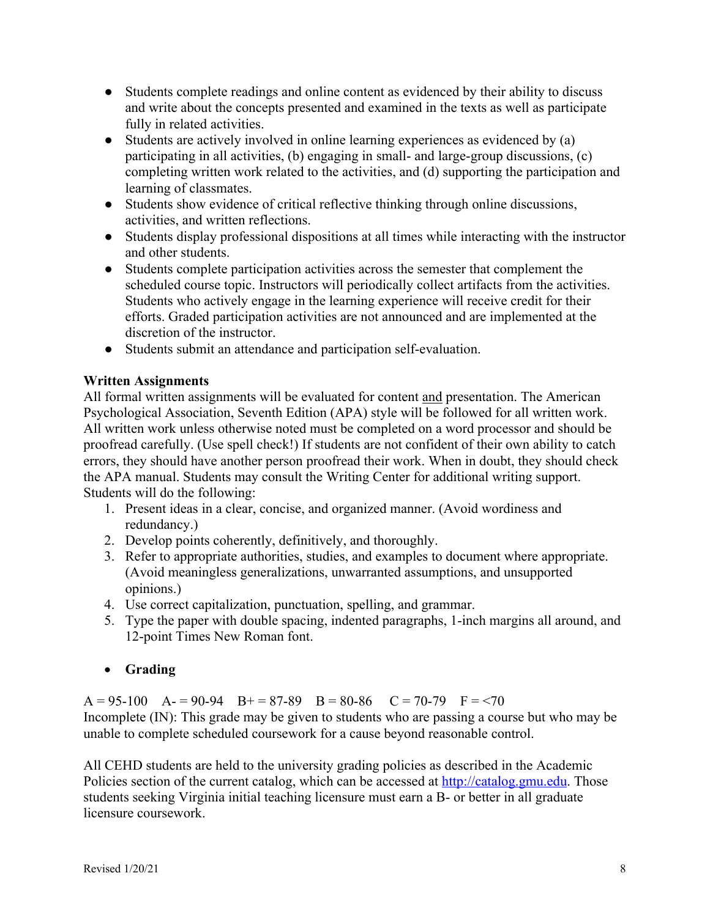- Students complete readings and online content as evidenced by their ability to discuss and write about the concepts presented and examined in the texts as well as participate fully in related activities.
- Students are actively involved in online learning experiences as evidenced by (a) participating in all activities, (b) engaging in small- and large-group discussions, (c) completing written work related to the activities, and (d) supporting the participation and learning of classmates.
- Students show evidence of critical reflective thinking through online discussions, activities, and written reflections.
- Students display professional dispositions at all times while interacting with the instructor and other students.
- Students complete participation activities across the semester that complement the scheduled course topic. Instructors will periodically collect artifacts from the activities. Students who actively engage in the learning experience will receive credit for their efforts. Graded participation activities are not announced and are implemented at the discretion of the instructor.
- Students submit an attendance and participation self-evaluation.

# **Written Assignments**

All formal written assignments will be evaluated for content and presentation. The American Psychological Association, Seventh Edition (APA) style will be followed for all written work. All written work unless otherwise noted must be completed on a word processor and should be proofread carefully. (Use spell check!) If students are not confident of their own ability to catch errors, they should have another person proofread their work. When in doubt, they should check the APA manual. Students may consult the Writing Center for additional writing support. Students will do the following:

- 1. Present ideas in a clear, concise, and organized manner. (Avoid wordiness and redundancy.)
- 2. Develop points coherently, definitively, and thoroughly.
- 3. Refer to appropriate authorities, studies, and examples to document where appropriate. (Avoid meaningless generalizations, unwarranted assumptions, and unsupported opinions.)
- 4. Use correct capitalization, punctuation, spelling, and grammar.
- 5. Type the paper with double spacing, indented paragraphs, 1-inch margins all around, and 12-point Times New Roman font.
- **Grading**

 $A = 95-100$   $A = 90-94$   $B = 87-89$   $B = 80-86$   $C = 70-79$   $F = 70$ Incomplete (IN): This grade may be given to students who are passing a course but who may be unable to complete scheduled coursework for a cause beyond reasonable control.

All CEHD students are held to the university grading policies as described in the Academic Policies section of the current catalog, which can be accessed at http://catalog.gmu.edu. Those students seeking Virginia initial teaching licensure must earn a B- or better in all graduate licensure coursework.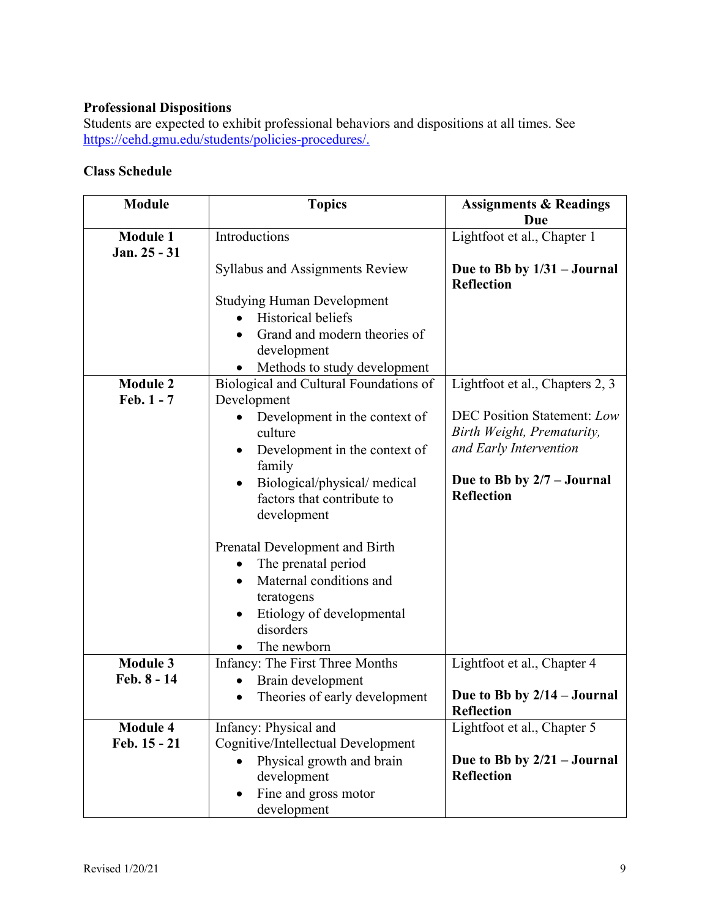# **Professional Dispositions**

Students are expected to exhibit professional behaviors and dispositions at all times. See https://cehd.gmu.edu/students/policies-procedures/.

# **Class Schedule**

| <b>Module</b>                   | <b>Topics</b>                                                                                                                                                                                                                                                                                                                                                        | <b>Assignments &amp; Readings</b><br>Due                                                                                                                                         |
|---------------------------------|----------------------------------------------------------------------------------------------------------------------------------------------------------------------------------------------------------------------------------------------------------------------------------------------------------------------------------------------------------------------|----------------------------------------------------------------------------------------------------------------------------------------------------------------------------------|
| <b>Module 1</b><br>Jan. 25 - 31 | Introductions                                                                                                                                                                                                                                                                                                                                                        | Lightfoot et al., Chapter 1                                                                                                                                                      |
|                                 | <b>Syllabus and Assignments Review</b>                                                                                                                                                                                                                                                                                                                               | Due to Bb by $1/31 -$ Journal<br><b>Reflection</b>                                                                                                                               |
|                                 | <b>Studying Human Development</b><br><b>Historical beliefs</b><br>Grand and modern theories of<br>development<br>Methods to study development                                                                                                                                                                                                                        |                                                                                                                                                                                  |
| <b>Module 2</b><br>Feb. 1 - 7   | Biological and Cultural Foundations of<br>Development<br>Development in the context of<br>culture<br>Development in the context of<br>family<br>Biological/physical/medical<br>factors that contribute to<br>development<br>Prenatal Development and Birth<br>The prenatal period<br>Maternal conditions and<br>teratogens<br>Etiology of developmental<br>disorders | Lightfoot et al., Chapters 2, 3<br><b>DEC Position Statement: Low</b><br>Birth Weight, Prematurity,<br>and Early Intervention<br>Due to Bb by 2/7 - Journal<br><b>Reflection</b> |
| <b>Module 3</b>                 | The newborn<br>Infancy: The First Three Months                                                                                                                                                                                                                                                                                                                       | Lightfoot et al., Chapter 4                                                                                                                                                      |
| Feb. 8 - 14                     | Brain development<br>Theories of early development<br>$\bullet$                                                                                                                                                                                                                                                                                                      | Due to Bb by $2/14$ – Journal<br>Reflection                                                                                                                                      |
| <b>Module 4</b><br>Feb. 15 - 21 | Infancy: Physical and<br>Cognitive/Intellectual Development<br>Physical growth and brain<br>development<br>Fine and gross motor<br>development                                                                                                                                                                                                                       | Lightfoot et al., Chapter 5<br>Due to Bb by $2/21 - Journal$<br><b>Reflection</b>                                                                                                |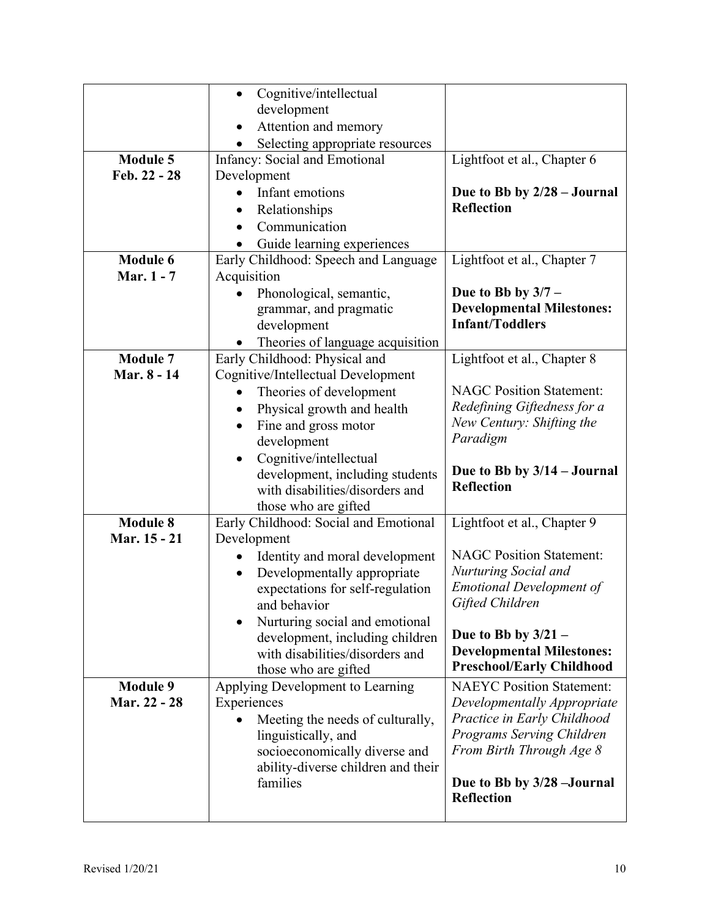|                 | Cognitive/intellectual<br>$\bullet$                                |                                                  |  |
|-----------------|--------------------------------------------------------------------|--------------------------------------------------|--|
|                 | development                                                        |                                                  |  |
|                 | Attention and memory                                               |                                                  |  |
|                 | Selecting appropriate resources                                    |                                                  |  |
| <b>Module 5</b> | Infancy: Social and Emotional                                      | Lightfoot et al., Chapter 6                      |  |
| Feb. 22 - 28    | Development                                                        |                                                  |  |
|                 | Infant emotions                                                    | Due to Bb by 2/28 - Journal                      |  |
|                 | Relationships                                                      | <b>Reflection</b>                                |  |
|                 | Communication                                                      |                                                  |  |
|                 | Guide learning experiences                                         |                                                  |  |
| <b>Module 6</b> | Early Childhood: Speech and Language                               | Lightfoot et al., Chapter 7                      |  |
| Mar. 1 - 7      | Acquisition                                                        |                                                  |  |
|                 | Phonological, semantic,                                            | Due to Bb by $3/7$ –                             |  |
|                 | grammar, and pragmatic                                             | <b>Developmental Milestones:</b>                 |  |
|                 | development                                                        | <b>Infant/Toddlers</b>                           |  |
|                 | Theories of language acquisition                                   |                                                  |  |
| <b>Module 7</b> | Early Childhood: Physical and                                      | Lightfoot et al., Chapter 8                      |  |
| Mar. 8 - 14     | Cognitive/Intellectual Development                                 | <b>NAGC Position Statement:</b>                  |  |
|                 | Theories of development                                            | Redefining Giftedness for a                      |  |
|                 | Physical growth and health<br>$\bullet$                            | New Century: Shifting the                        |  |
|                 | Fine and gross motor<br>$\bullet$                                  | Paradigm                                         |  |
|                 | development                                                        |                                                  |  |
|                 |                                                                    |                                                  |  |
|                 | Cognitive/intellectual                                             |                                                  |  |
|                 | development, including students                                    | Due to Bb by $3/14$ – Journal                    |  |
|                 | with disabilities/disorders and                                    | <b>Reflection</b>                                |  |
|                 | those who are gifted                                               |                                                  |  |
| <b>Module 8</b> | Early Childhood: Social and Emotional                              | Lightfoot et al., Chapter 9                      |  |
| Mar. 15 - 21    | Development                                                        |                                                  |  |
|                 | Identity and moral development                                     | <b>NAGC Position Statement:</b>                  |  |
|                 | Developmentally appropriate<br>$\bullet$                           | Nurturing Social and                             |  |
|                 | expectations for self-regulation                                   | <b>Emotional Development of</b>                  |  |
|                 | and behavior                                                       | Gifted Children                                  |  |
|                 | Nurturing social and emotional                                     | Due to Bb by $3/21$ –                            |  |
|                 | development, including children<br>with disabilities/disorders and | <b>Developmental Milestones:</b>                 |  |
|                 | those who are gifted                                               | <b>Preschool/Early Childhood</b>                 |  |
| <b>Module 9</b> | Applying Development to Learning                                   | <b>NAEYC Position Statement:</b>                 |  |
| Mar. 22 - 28    | Experiences                                                        | Developmentally Appropriate                      |  |
|                 | Meeting the needs of culturally,                                   | Practice in Early Childhood                      |  |
|                 | linguistically, and                                                | Programs Serving Children                        |  |
|                 | socioeconomically diverse and                                      | From Birth Through Age 8                         |  |
|                 | ability-diverse children and their                                 |                                                  |  |
|                 | families                                                           | Due to Bb by 3/28 - Journal<br><b>Reflection</b> |  |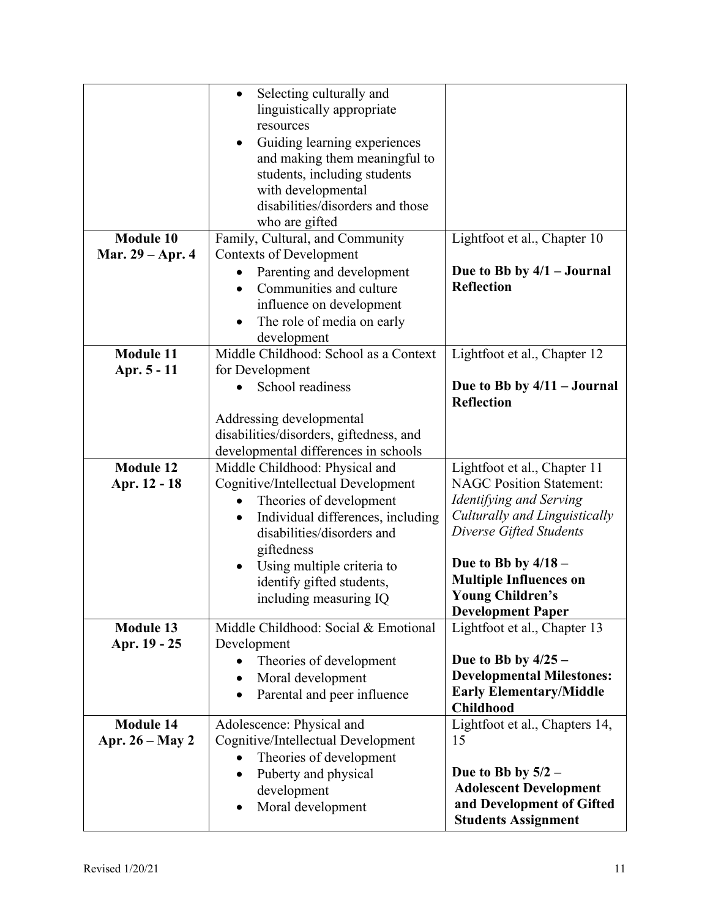|                   | Selecting culturally and<br>$\bullet$                                      |                                                         |  |
|-------------------|----------------------------------------------------------------------------|---------------------------------------------------------|--|
|                   | linguistically appropriate                                                 |                                                         |  |
|                   | resources                                                                  |                                                         |  |
|                   | Guiding learning experiences<br>$\bullet$<br>and making them meaningful to |                                                         |  |
|                   | students, including students                                               |                                                         |  |
|                   | with developmental                                                         |                                                         |  |
|                   | disabilities/disorders and those                                           |                                                         |  |
|                   | who are gifted                                                             |                                                         |  |
| <b>Module 10</b>  | Family, Cultural, and Community                                            | Lightfoot et al., Chapter 10                            |  |
| Mar. 29 – Apr. 4  | <b>Contexts of Development</b>                                             |                                                         |  |
|                   | Parenting and development                                                  | Due to Bb by $4/1$ – Journal                            |  |
|                   | Communities and culture<br>$\bullet$                                       | <b>Reflection</b>                                       |  |
|                   | influence on development                                                   |                                                         |  |
|                   | The role of media on early<br>$\bullet$                                    |                                                         |  |
|                   | development                                                                |                                                         |  |
| <b>Module 11</b>  | Middle Childhood: School as a Context                                      | Lightfoot et al., Chapter 12                            |  |
| Apr. 5 - 11       | for Development                                                            |                                                         |  |
|                   | School readiness                                                           | Due to Bb by $4/11 -$ Journal                           |  |
|                   |                                                                            | <b>Reflection</b>                                       |  |
|                   | Addressing developmental<br>disabilities/disorders, giftedness, and        |                                                         |  |
|                   | developmental differences in schools                                       |                                                         |  |
| <b>Module 12</b>  | Middle Childhood: Physical and                                             | Lightfoot et al., Chapter 11                            |  |
| Apr. 12 - 18      | Cognitive/Intellectual Development                                         | <b>NAGC Position Statement:</b>                         |  |
|                   |                                                                            |                                                         |  |
|                   | Theories of development                                                    | Identifying and Serving                                 |  |
|                   | Individual differences, including<br>$\bullet$                             | Culturally and Linguistically                           |  |
|                   | disabilities/disorders and                                                 | Diverse Gifted Students                                 |  |
|                   | giftedness                                                                 |                                                         |  |
|                   | Using multiple criteria to<br>$\bullet$                                    | Due to Bb by $4/18$ –                                   |  |
|                   | identify gifted students,                                                  | <b>Multiple Influences on</b>                           |  |
|                   | including measuring IQ                                                     | <b>Young Children's</b>                                 |  |
|                   |                                                                            | <b>Development Paper</b>                                |  |
| <b>Module 13</b>  | Middle Childhood: Social & Emotional                                       | Lightfoot et al., Chapter 13                            |  |
| Apr. 19 - 25      | Development                                                                |                                                         |  |
|                   | Theories of development                                                    | Due to Bb by $4/25 -$                                   |  |
|                   | Moral development<br>$\bullet$                                             | <b>Developmental Milestones:</b>                        |  |
|                   | Parental and peer influence                                                | <b>Early Elementary/Middle</b><br><b>Childhood</b>      |  |
| <b>Module 14</b>  | Adolescence: Physical and                                                  | Lightfoot et al., Chapters 14,                          |  |
| Apr. $26 - May 2$ | Cognitive/Intellectual Development                                         | 15                                                      |  |
|                   | Theories of development                                                    |                                                         |  |
|                   | Puberty and physical<br>$\bullet$                                          | Due to Bb by $5/2$ –                                    |  |
|                   | development                                                                | <b>Adolescent Development</b>                           |  |
|                   | Moral development                                                          | and Development of Gifted<br><b>Students Assignment</b> |  |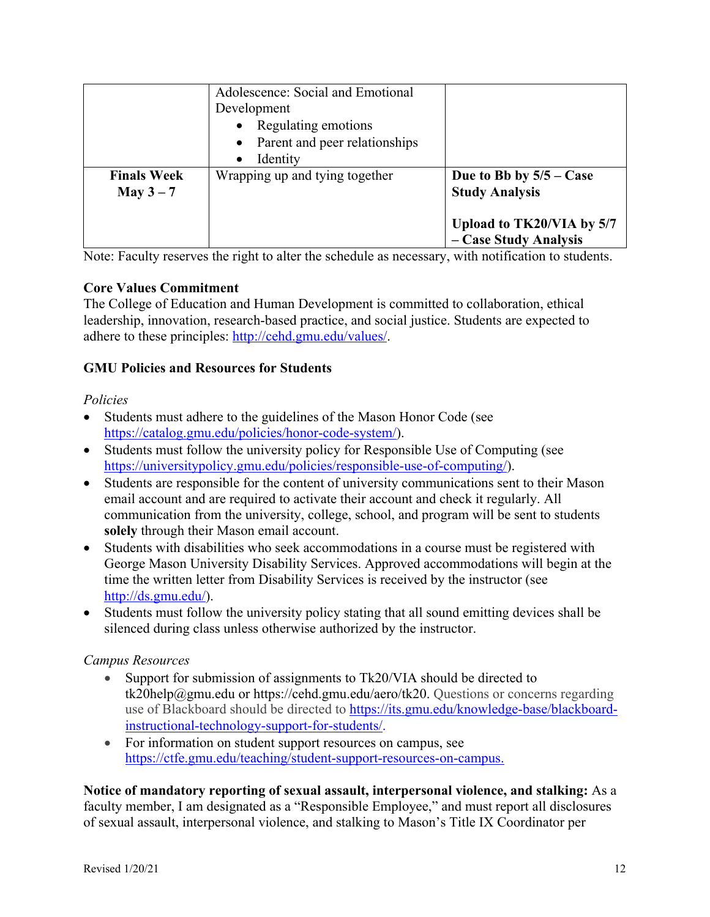|                    | Adolescence: Social and Emotional |                           |
|--------------------|-----------------------------------|---------------------------|
|                    | Development                       |                           |
|                    | • Regulating emotions             |                           |
|                    | • Parent and peer relationships   |                           |
|                    | Identity<br>$\bullet$             |                           |
| <b>Finals Week</b> | Wrapping up and tying together    | Due to Bb by $5/5 - Case$ |
| May $3-7$          |                                   | <b>Study Analysis</b>     |
|                    |                                   |                           |
|                    |                                   | Upload to TK20/VIA by 5/7 |
|                    |                                   | - Case Study Analysis     |

Note: Faculty reserves the right to alter the schedule as necessary, with notification to students.

## **Core Values Commitment**

The College of Education and Human Development is committed to collaboration, ethical leadership, innovation, research-based practice, and social justice. Students are expected to adhere to these principles: http://cehd.gmu.edu/values/.

# **GMU Policies and Resources for Students**

#### *Policies*

- Students must adhere to the guidelines of the Mason Honor Code (see https://catalog.gmu.edu/policies/honor-code-system/).
- Students must follow the university policy for Responsible Use of Computing (see https://universitypolicy.gmu.edu/policies/responsible-use-of-computing/).
- Students are responsible for the content of university communications sent to their Mason email account and are required to activate their account and check it regularly. All communication from the university, college, school, and program will be sent to students **solely** through their Mason email account.
- Students with disabilities who seek accommodations in a course must be registered with George Mason University Disability Services. Approved accommodations will begin at the time the written letter from Disability Services is received by the instructor (see http://ds.gmu.edu/).
- Students must follow the university policy stating that all sound emitting devices shall be silenced during class unless otherwise authorized by the instructor.

## *Campus Resources*

- Support for submission of assignments to Tk20/VIA should be directed to tk20help@gmu.edu or https://cehd.gmu.edu/aero/tk20. Questions or concerns regarding use of Blackboard should be directed to https://its.gmu.edu/knowledge-base/blackboardinstructional-technology-support-for-students/.
- For information on student support resources on campus, see https://ctfe.gmu.edu/teaching/student-support-resources-on-campus.

## **Notice of mandatory reporting of sexual assault, interpersonal violence, and stalking:** As a

faculty member, I am designated as a "Responsible Employee," and must report all disclosures of sexual assault, interpersonal violence, and stalking to Mason's Title IX Coordinator per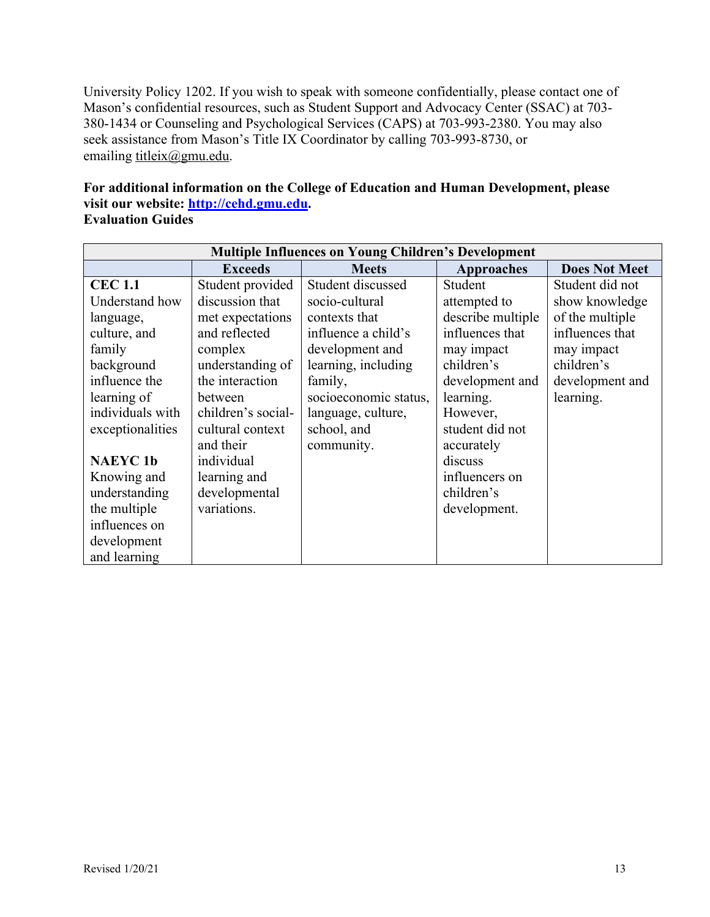University Policy 1202. If you wish to speak with someone confidentially, please contact one of Mason's confidential resources, such as Student Support and Advocacy Center (SSAC) at 703- 380-1434 or Counseling and Psychological Services (CAPS) at 703-993-2380. You may also seek assistance from Mason's Title IX Coordinator by calling 703-993-8730, or emailing titleix@gmu.edu.

# **For additional information on the College of Education and Human Development, please visit our website: http://cehd.gmu.edu.**

# **Evaluation Guides**

| <b>Multiple Influences on Young Children's Development</b> |                    |                       |                   |                      |
|------------------------------------------------------------|--------------------|-----------------------|-------------------|----------------------|
|                                                            | <b>Exceeds</b>     | <b>Meets</b>          | <b>Approaches</b> | <b>Does Not Meet</b> |
| <b>CEC 1.1</b>                                             | Student provided   | Student discussed     | Student           | Student did not      |
| Understand how                                             | discussion that    | socio-cultural        | attempted to      | show knowledge       |
| language,                                                  | met expectations   | contexts that         | describe multiple | of the multiple      |
| culture, and                                               | and reflected      | influence a child's   | influences that   | influences that      |
| family                                                     | complex            | development and       | may impact        | may impact           |
| background                                                 | understanding of   | learning, including   | children's        | children's           |
| influence the                                              | the interaction    | family,               | development and   | development and      |
| learning of                                                | between            | socioeconomic status, | learning.         | learning.            |
| individuals with                                           | children's social- | language, culture,    | However,          |                      |
| exceptionalities                                           | cultural context   | school, and           | student did not   |                      |
|                                                            | and their          | community.            | accurately        |                      |
| <b>NAEYC1b</b>                                             | individual         |                       | discuss           |                      |
| Knowing and                                                | learning and       |                       | influencers on    |                      |
| understanding                                              | developmental      |                       | children's        |                      |
| the multiple                                               | variations.        |                       | development.      |                      |
| influences on                                              |                    |                       |                   |                      |
| development                                                |                    |                       |                   |                      |
| and learning                                               |                    |                       |                   |                      |